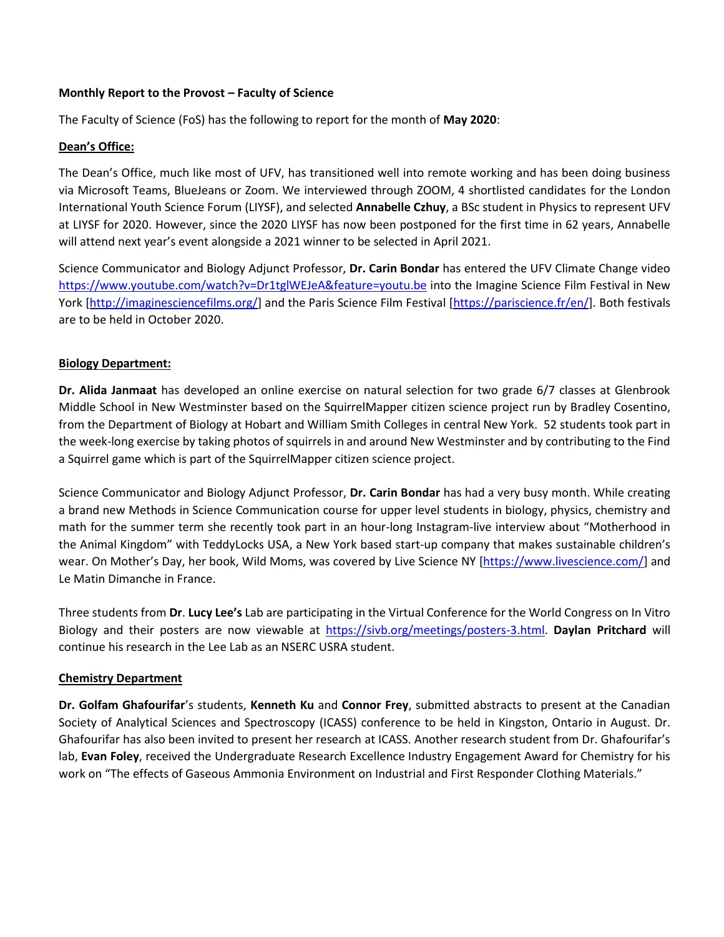#### **Monthly Report to the Provost – Faculty of Science**

The Faculty of Science (FoS) has the following to report for the month of **May 2020**:

### **Dean's Office:**

The Dean's Office, much like most of UFV, has transitioned well into remote working and has been doing business via Microsoft Teams, BlueJeans or Zoom. We interviewed through ZOOM, 4 shortlisted candidates for the London International Youth Science Forum (LIYSF), and selected **Annabelle Czhuy**, a BSc student in Physics to represent UFV at LIYSF for 2020. However, since the 2020 LIYSF has now been postponed for the first time in 62 years, Annabelle will attend next year's event alongside a 2021 winner to be selected in April 2021.

Science Communicator and Biology Adjunct Professor, **Dr. Carin Bondar** has entered the UFV Climate Change video <https://www.youtube.com/watch?v=Dr1tglWEJeA&feature=youtu.be> into the Imagine Science Film Festival in New York [\[http://imaginesciencefilms.org/\]](http://imaginesciencefilms.org/) and the Paris Science Film Festival [\[https://pariscience.fr/en/\]](https://pariscience.fr/en/). Both festivals are to be held in October 2020.

## **Biology Department:**

**Dr. Alida Janmaat** has developed an online exercise on natural selection for two grade 6/7 classes at Glenbrook Middle School in New Westminster based on the SquirrelMapper citizen science project run by [Bradley Cosentino,](http://people.hws.edu/cosentino/home.html) from the Department of Biology at Hobart and William Smith Colleges in central New York. 52 students took part in the week-long exercise by taking photos of squirrels in and around New Westminster and by contributing to the Find a Squirrel game which is part of the SquirrelMapper citizen science project.

Science Communicator and Biology Adjunct Professor, **Dr. Carin Bondar** has had a very busy month. While creating a brand new Methods in Science Communication course for upper level students in biology, physics, chemistry and math for the summer term she recently took part in an hour-long Instagram-live interview about "Motherhood in the Animal Kingdom" with TeddyLocks USA, a New York based start-up company that makes sustainable children's wear. On Mother's Day, her book, Wild Moms, was covered by Live Science NY [\[https://www.livescience.com/\]](https://www.livescience.com/) and Le Matin Dimanche in France.

Three students from **Dr**. **Lucy Lee's** Lab are participating in the Virtual Conference for the World Congress on In Vitro Biology and their posters are now viewable at [https://sivb.org/meetings/posters-3.html.](https://sivb.org/meetings/posters-3.html) **Daylan Pritchard** will continue his research in the Lee Lab as an NSERC USRA student.

### **Chemistry Department**

**Dr. Golfam Ghafourifar**'s students, **Kenneth Ku** and **Connor Frey**, submitted abstracts to present at the Canadian Society of Analytical Sciences and Spectroscopy (ICASS) conference to be held in Kingston, Ontario in August. Dr. Ghafourifar has also been invited to present her research at ICASS. Another research student from Dr. Ghafourifar's lab, **Evan Foley**, received the Undergraduate Research Excellence Industry Engagement Award for Chemistry for his work on "The effects of Gaseous Ammonia Environment on Industrial and First Responder Clothing Materials."